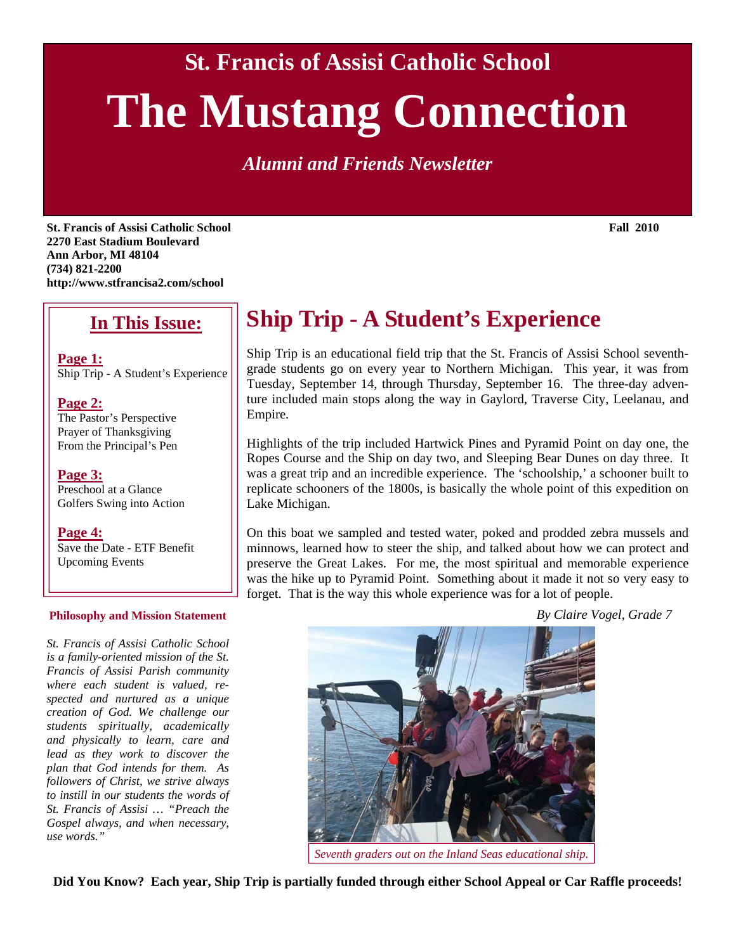**St. Francis of Assisi Catholic School** 

# **The Mustang Connection**

*Alumni and Friends Newsletter* 

**St. Francis of Assisi Catholic School Fall 2010 Fall 2010 2270 East Stadium Boulevard Ann Arbor, MI 48104 (734) 821-2200 http://www.stfrancisa2.com/school** 

#### **In This Issue:**

**Page 1:** Ship Trip - A Student's Experience

#### **Page 2:**

The Pastor's Perspective Prayer of Thanksgiving From the Principal's Pen

**Page 3:**

Preschool at a Glance Golfers Swing into Action

**Page 4:** Save the Date - ETF Benefit Upcoming Events

#### **Philosophy and Mission Statement**

*St. Francis of Assisi Catholic School is a family-oriented mission of the St. Francis of Assisi Parish community where each student is valued, respected and nurtured as a unique creation of God. We challenge our students spiritually, academically and physically to learn, care and lead as they work to discover the plan that God intends for them. As followers of Christ, we strive always to instill in our students the words of St. Francis of Assisi … "Preach the Gospel always, and when necessary, use words."* 

# **Ship Trip - A Student's Experience**

Ship Trip is an educational field trip that the St. Francis of Assisi School seventhgrade students go on every year to Northern Michigan. This year, it was from Tuesday, September 14, through Thursday, September 16. The three-day adventure included main stops along the way in Gaylord, Traverse City, Leelanau, and Empire.

Highlights of the trip included Hartwick Pines and Pyramid Point on day one, the Ropes Course and the Ship on day two, and Sleeping Bear Dunes on day three. It was a great trip and an incredible experience. The 'schoolship,' a schooner built to replicate schooners of the 1800s, is basically the whole point of this expedition on Lake Michigan.

On this boat we sampled and tested water, poked and prodded zebra mussels and minnows, learned how to steer the ship, and talked about how we can protect and preserve the Great Lakes. For me, the most spiritual and memorable experience was the hike up to Pyramid Point. Something about it made it not so very easy to forget. That is the way this whole experience was for a lot of people.

*By Claire Vogel, Grade 7* 



*Seventh graders out on the Inland Seas educational ship.* 

**Did You Know? Each year, Ship Trip is partially funded through either School Appeal or Car Raffle proceeds!**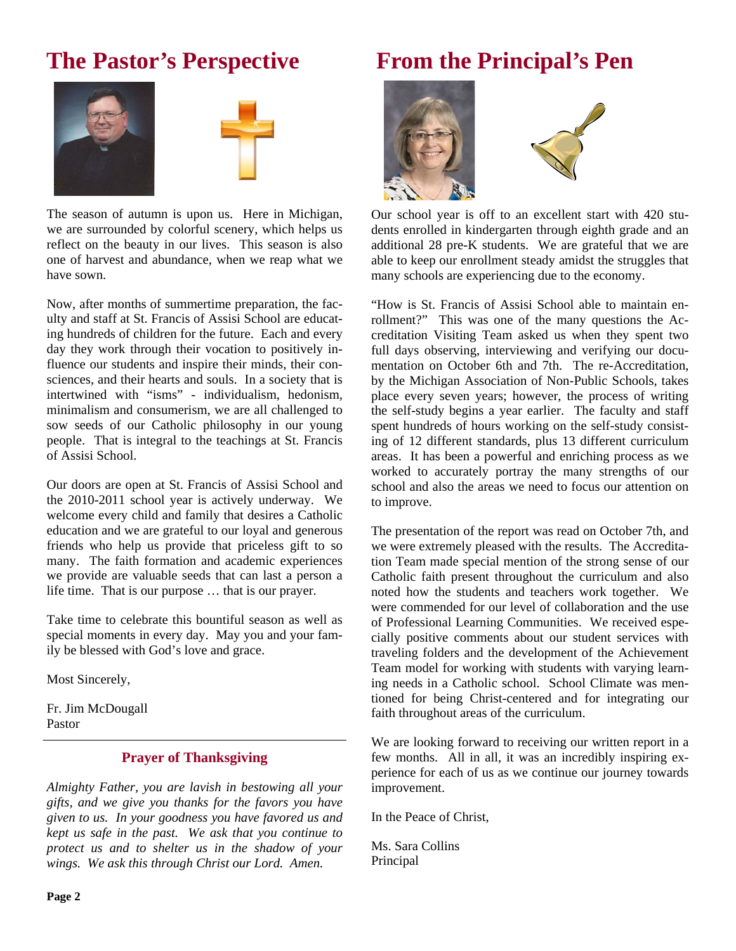### **The Pastor's Perspective**





The season of autumn is upon us. Here in Michigan, we are surrounded by colorful scenery, which helps us reflect on the beauty in our lives. This season is also one of harvest and abundance, when we reap what we have sown.

Now, after months of summertime preparation, the faculty and staff at St. Francis of Assisi School are educating hundreds of children for the future. Each and every day they work through their vocation to positively influence our students and inspire their minds, their consciences, and their hearts and souls. In a society that is intertwined with "isms" - individualism, hedonism, minimalism and consumerism, we are all challenged to sow seeds of our Catholic philosophy in our young people. That is integral to the teachings at St. Francis of Assisi School.

Our doors are open at St. Francis of Assisi School and the 2010-2011 school year is actively underway. We welcome every child and family that desires a Catholic education and we are grateful to our loyal and generous friends who help us provide that priceless gift to so many. The faith formation and academic experiences we provide are valuable seeds that can last a person a life time. That is our purpose … that is our prayer.

Take time to celebrate this bountiful season as well as special moments in every day. May you and your family be blessed with God's love and grace.

Most Sincerely,

Fr. Jim McDougall Pastor

#### **Prayer of Thanksgiving**

*Almighty Father, you are lavish in bestowing all your gifts, and we give you thanks for the favors you have given to us. In your goodness you have favored us and kept us safe in the past. We ask that you continue to protect us and to shelter us in the shadow of your wings. We ask this through Christ our Lord. Amen.* 

# **From the Principal's Pen**





Our school year is off to an excellent start with 420 students enrolled in kindergarten through eighth grade and an additional 28 pre-K students. We are grateful that we are able to keep our enrollment steady amidst the struggles that many schools are experiencing due to the economy.

"How is St. Francis of Assisi School able to maintain enrollment?" This was one of the many questions the Accreditation Visiting Team asked us when they spent two full days observing, interviewing and verifying our documentation on October 6th and 7th. The re-Accreditation, by the Michigan Association of Non-Public Schools, takes place every seven years; however, the process of writing the self-study begins a year earlier. The faculty and staff spent hundreds of hours working on the self-study consisting of 12 different standards, plus 13 different curriculum areas. It has been a powerful and enriching process as we worked to accurately portray the many strengths of our school and also the areas we need to focus our attention on to improve.

The presentation of the report was read on October 7th, and we were extremely pleased with the results. The Accreditation Team made special mention of the strong sense of our Catholic faith present throughout the curriculum and also noted how the students and teachers work together. We were commended for our level of collaboration and the use of Professional Learning Communities. We received especially positive comments about our student services with traveling folders and the development of the Achievement Team model for working with students with varying learning needs in a Catholic school. School Climate was mentioned for being Christ-centered and for integrating our faith throughout areas of the curriculum.

We are looking forward to receiving our written report in a few months. All in all, it was an incredibly inspiring experience for each of us as we continue our journey towards improvement.

In the Peace of Christ,

Ms. Sara Collins Principal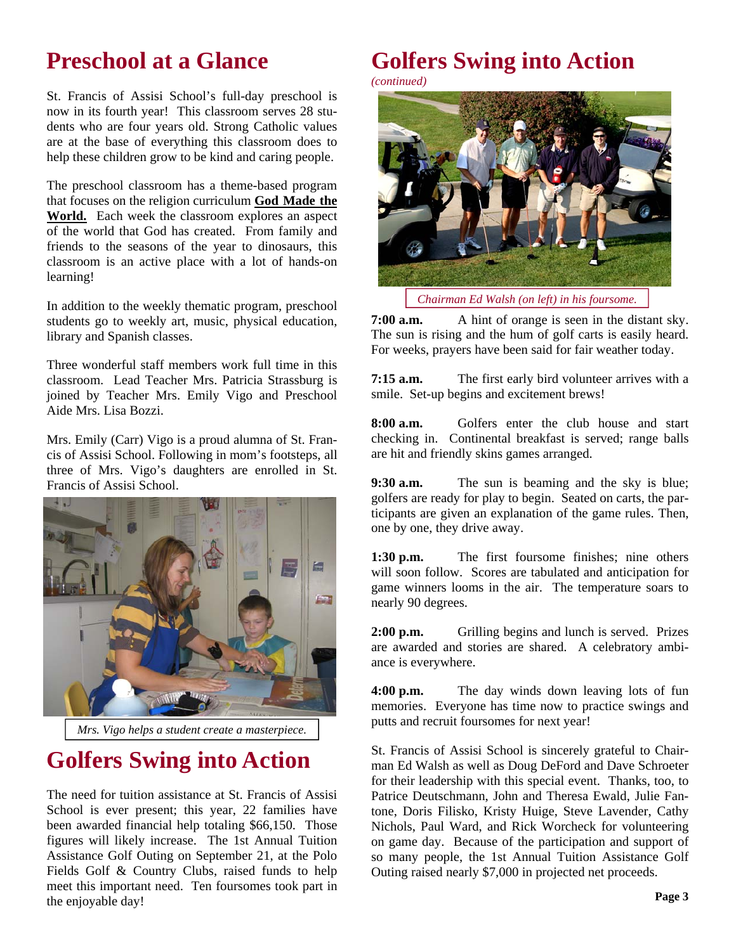## **Preschool at a Glance**

St. Francis of Assisi School's full-day preschool is now in its fourth year! This classroom serves 28 students who are four years old. Strong Catholic values are at the base of everything this classroom does to help these children grow to be kind and caring people.

The preschool classroom has a theme-based program that focuses on the religion curriculum **God Made the World.** Each week the classroom explores an aspect of the world that God has created. From family and friends to the seasons of the year to dinosaurs, this classroom is an active place with a lot of hands-on learning!

In addition to the weekly thematic program, preschool students go to weekly art, music, physical education, library and Spanish classes.

Three wonderful staff members work full time in this classroom. Lead Teacher Mrs. Patricia Strassburg is joined by Teacher Mrs. Emily Vigo and Preschool Aide Mrs. Lisa Bozzi.

Mrs. Emily (Carr) Vigo is a proud alumna of St. Francis of Assisi School. Following in mom's footsteps, all three of Mrs. Vigo's daughters are enrolled in St. Francis of Assisi School.



*Mrs. Vigo helps a student create a masterpiece.* 

# **Golfers Swing into Action**

The need for tuition assistance at St. Francis of Assisi School is ever present; this year, 22 families have been awarded financial help totaling \$66,150. Those figures will likely increase. The 1st Annual Tuition Assistance Golf Outing on September 21, at the Polo Fields Golf & Country Clubs, raised funds to help meet this important need. Ten foursomes took part in the enjoyable day!

# **Golfers Swing into Action**

*(continued)* 



*Chairman Ed Walsh (on left) in his foursome.* 

**7:00 a.m.** A hint of orange is seen in the distant sky. The sun is rising and the hum of golf carts is easily heard. For weeks, prayers have been said for fair weather today.

**7:15 a.m.** The first early bird volunteer arrives with a smile. Set-up begins and excitement brews!

**8:00 a.m.** Golfers enter the club house and start checking in. Continental breakfast is served; range balls are hit and friendly skins games arranged.

**9:30 a.m.** The sun is beaming and the sky is blue; golfers are ready for play to begin. Seated on carts, the participants are given an explanation of the game rules. Then, one by one, they drive away.

**1:30 p.m.** The first foursome finishes; nine others will soon follow. Scores are tabulated and anticipation for game winners looms in the air. The temperature soars to nearly 90 degrees.

**2:00 p.m.** Grilling begins and lunch is served. Prizes are awarded and stories are shared. A celebratory ambiance is everywhere.

**4:00 p.m.** The day winds down leaving lots of fun memories. Everyone has time now to practice swings and putts and recruit foursomes for next year!

St. Francis of Assisi School is sincerely grateful to Chairman Ed Walsh as well as Doug DeFord and Dave Schroeter for their leadership with this special event. Thanks, too, to Patrice Deutschmann, John and Theresa Ewald, Julie Fantone, Doris Filisko, Kristy Huige, Steve Lavender, Cathy Nichols, Paul Ward, and Rick Worcheck for volunteering on game day. Because of the participation and support of so many people, the 1st Annual Tuition Assistance Golf Outing raised nearly \$7,000 in projected net proceeds.